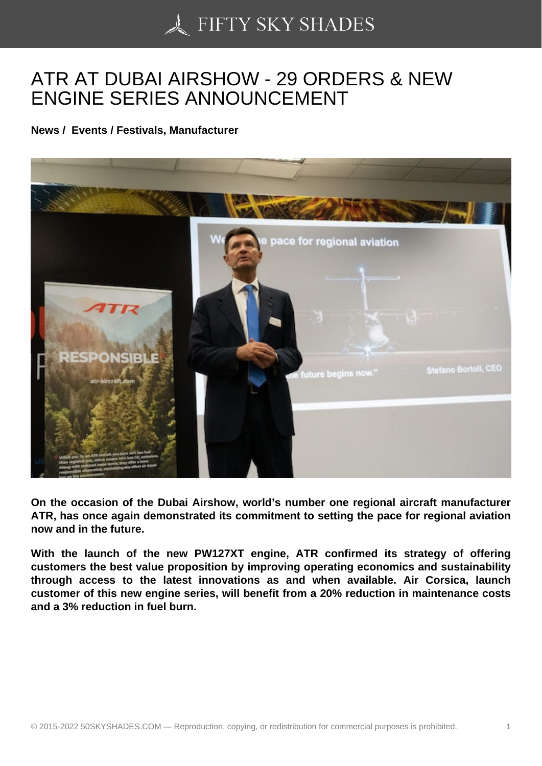## [ATR AT DUBAI AIRSH](https://50skyshades.com)OW - 29 ORDERS & NEW ENGINE SERIES ANNOUNCEMENT

News / Events / Festivals, Manufacturer

On the occasion of the Dubai Airshow, world's number one regional aircraft manufacturer ATR, has once again demonstrated its commitment to setting the pace for regional aviation now and in the future.

With the launch of the new PW127XT engine, ATR confirmed its strategy of offering customers the best value proposition by improving operating economics and sustainability through access to the latest innovations as and when available. Air Corsica, launch customer of this new engine series, will benefit from a 20% reduction in maintenance costs and a 3% reduction in fuel burn.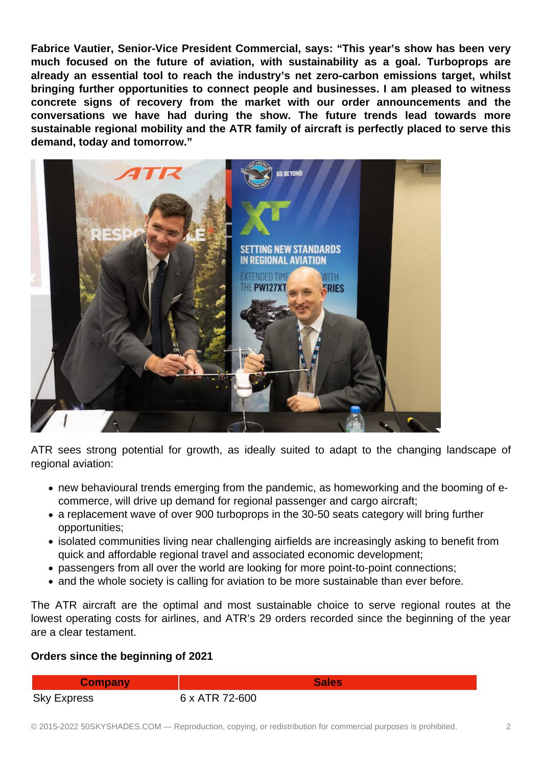**Fabrice Vautier, Senior-Vice President Commercial, says: "This year's show has been very much focused on the future of aviation, with sustainability as a goal. Turboprops are already an essential tool to reach the industry's net zero-carbon emissions target, whilst bringing further opportunities to connect people and businesses. I am pleased to witness concrete signs of recovery from the market with our order announcements and the conversations we have had during the show. The future trends lead towards more sustainable regional mobility and the ATR family of aircraft is perfectly placed to serve this demand, today and tomorrow."**



ATR sees strong potential for growth, as ideally suited to adapt to the changing landscape of regional aviation:

- new behavioural trends emerging from the pandemic, as homeworking and the booming of ecommerce, will drive up demand for regional passenger and cargo aircraft;
- a replacement wave of over 900 turboprops in the 30-50 seats category will bring further opportunities;
- isolated communities living near challenging airfields are increasingly asking to benefit from quick and affordable regional travel and associated economic development;
- passengers from all over the world are looking for more point-to-point connections;
- and the whole society is calling for aviation to be more sustainable than ever before.

The ATR aircraft are the optimal and most sustainable choice to serve regional routes at the lowest operating costs for airlines, and ATR's 29 orders recorded since the beginning of the year are a clear testament.

## **Orders since the beginning of 2021**

Sky Express 6 x ATR 72-600

**Company Sales**